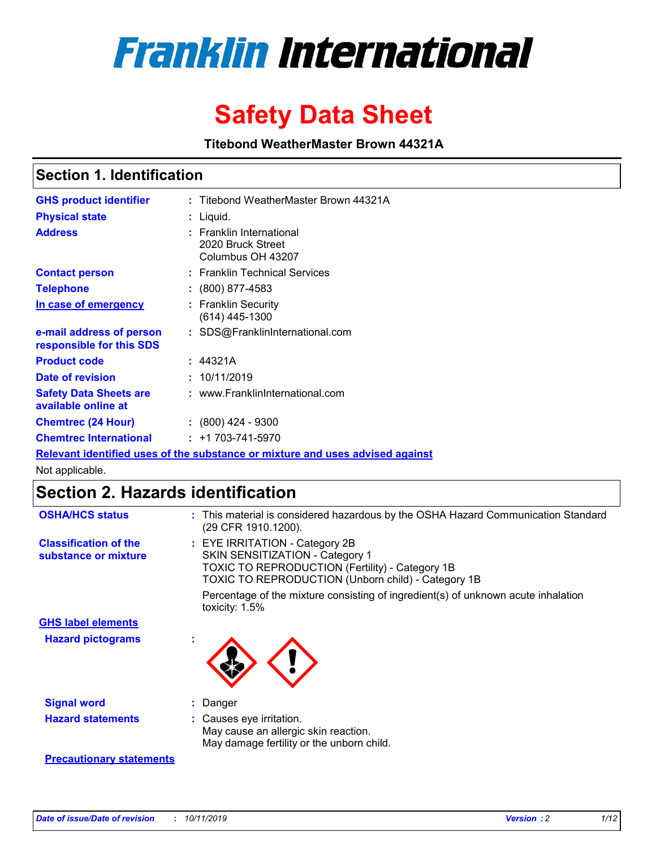

# **Safety Data Sheet**

**Titebond WeatherMaster Brown 44321A**

## **Section 1. Identification**

| <b>GHS product identifier</b>                        | : Titebond WeatherMaster Brown 44321A                                         |
|------------------------------------------------------|-------------------------------------------------------------------------------|
| <b>Physical state</b>                                | : Liquid.                                                                     |
| <b>Address</b>                                       | : Franklin International<br>2020 Bruck Street<br>Columbus OH 43207            |
| <b>Contact person</b>                                | : Franklin Technical Services                                                 |
| <b>Telephone</b>                                     | $\div$ (800) 877-4583                                                         |
| In case of emergency                                 | : Franklin Security<br>(614) 445-1300                                         |
| e-mail address of person<br>responsible for this SDS | : SDS@FranklinInternational.com                                               |
| <b>Product code</b>                                  | : 44321A                                                                      |
| Date of revision                                     | : 10/11/2019                                                                  |
| <b>Safety Data Sheets are</b><br>available online at | : www.FranklinInternational.com                                               |
| <b>Chemtrec (24 Hour)</b>                            | $: (800)$ 424 - 9300                                                          |
| <b>Chemtrec International</b>                        | $: +1703 - 741 - 5970$                                                        |
|                                                      | Relevant identified uses of the substance or mixture and uses advised against |

Not applicable.

# **Section 2. Hazards identification**

| <b>OSHA/HCS status</b>                               | : This material is considered hazardous by the OSHA Hazard Communication Standard<br>(29 CFR 1910.1200).                                                                                 |
|------------------------------------------------------|------------------------------------------------------------------------------------------------------------------------------------------------------------------------------------------|
| <b>Classification of the</b><br>substance or mixture | : EYE IRRITATION - Category 2B<br>SKIN SENSITIZATION - Category 1<br><b>TOXIC TO REPRODUCTION (Fertility) - Category 1B</b><br><b>TOXIC TO REPRODUCTION (Unborn child) - Category 1B</b> |
|                                                      | Percentage of the mixture consisting of ingredient(s) of unknown acute inhalation<br>toxicity: $1.5\%$                                                                                   |
| <b>GHS label elements</b>                            |                                                                                                                                                                                          |
| <b>Hazard pictograms</b>                             |                                                                                                                                                                                          |
| <b>Signal word</b>                                   | : Danger                                                                                                                                                                                 |
| <b>Hazard statements</b>                             | : Causes eye irritation.<br>May cause an allergic skin reaction.<br>May damage fertility or the unborn child.                                                                            |
| <b>Precautionary statements</b>                      |                                                                                                                                                                                          |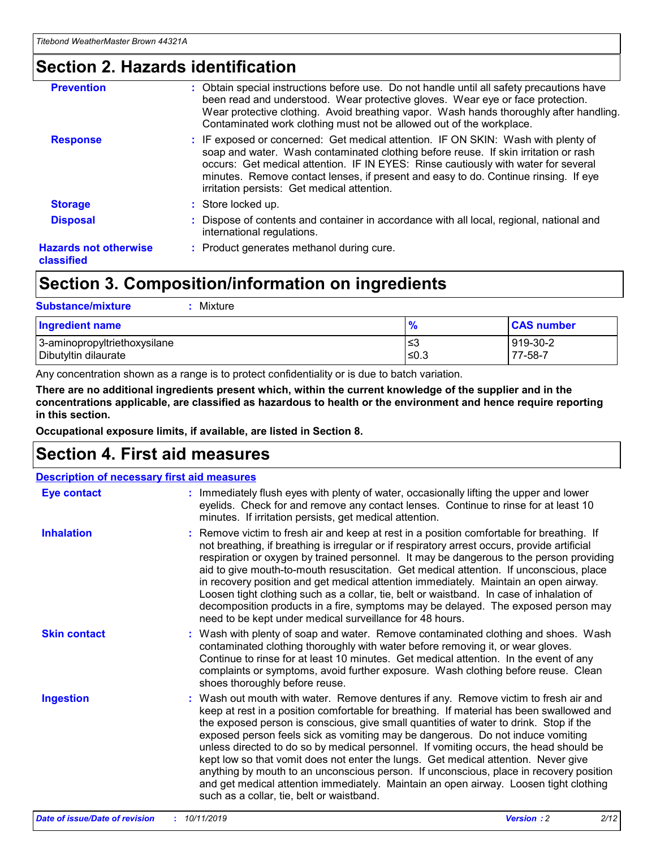## **Section 2. Hazards identification**

| <b>Prevention</b>                          | : Obtain special instructions before use. Do not handle until all safety precautions have<br>been read and understood. Wear protective gloves. Wear eye or face protection.<br>Wear protective clothing. Avoid breathing vapor. Wash hands thoroughly after handling.<br>Contaminated work clothing must not be allowed out of the workplace.                                                        |
|--------------------------------------------|------------------------------------------------------------------------------------------------------------------------------------------------------------------------------------------------------------------------------------------------------------------------------------------------------------------------------------------------------------------------------------------------------|
| <b>Response</b>                            | : IF exposed or concerned: Get medical attention. IF ON SKIN: Wash with plenty of<br>soap and water. Wash contaminated clothing before reuse. If skin irritation or rash<br>occurs: Get medical attention. IF IN EYES: Rinse cautiously with water for several<br>minutes. Remove contact lenses, if present and easy to do. Continue rinsing. If eye<br>irritation persists: Get medical attention. |
| <b>Storage</b>                             | : Store locked up.                                                                                                                                                                                                                                                                                                                                                                                   |
| <b>Disposal</b>                            | : Dispose of contents and container in accordance with all local, regional, national and<br>international regulations.                                                                                                                                                                                                                                                                               |
| <b>Hazards not otherwise</b><br>classified | : Product generates methanol during cure.                                                                                                                                                                                                                                                                                                                                                            |

# **Section 3. Composition/information on ingredients**

| <b>Substance/mixture</b><br>Mixture                  |                   |                     |
|------------------------------------------------------|-------------------|---------------------|
| Ingredient name                                      | $\frac{9}{6}$     | <b>CAS number</b>   |
| 3-aminopropyltriethoxysilane<br>Dibutyltin dilaurate | l≤3<br>$\leq 0.3$ | 919-30-2<br>77-58-7 |

Any concentration shown as a range is to protect confidentiality or is due to batch variation.

**There are no additional ingredients present which, within the current knowledge of the supplier and in the concentrations applicable, are classified as hazardous to health or the environment and hence require reporting in this section.**

**Occupational exposure limits, if available, are listed in Section 8.**

# **Section 4. First aid measures**

| <b>Description of necessary first aid measures</b> |                                                                                                                                                                                                                                                                                                                                                                                                                                                                                                                                                                                                                                                                                                                                                                           |  |  |  |
|----------------------------------------------------|---------------------------------------------------------------------------------------------------------------------------------------------------------------------------------------------------------------------------------------------------------------------------------------------------------------------------------------------------------------------------------------------------------------------------------------------------------------------------------------------------------------------------------------------------------------------------------------------------------------------------------------------------------------------------------------------------------------------------------------------------------------------------|--|--|--|
| <b>Eye contact</b>                                 | : Immediately flush eyes with plenty of water, occasionally lifting the upper and lower<br>eyelids. Check for and remove any contact lenses. Continue to rinse for at least 10<br>minutes. If irritation persists, get medical attention.                                                                                                                                                                                                                                                                                                                                                                                                                                                                                                                                 |  |  |  |
| <b>Inhalation</b>                                  | : Remove victim to fresh air and keep at rest in a position comfortable for breathing. If<br>not breathing, if breathing is irregular or if respiratory arrest occurs, provide artificial<br>respiration or oxygen by trained personnel. It may be dangerous to the person providing<br>aid to give mouth-to-mouth resuscitation. Get medical attention. If unconscious, place<br>in recovery position and get medical attention immediately. Maintain an open airway.<br>Loosen tight clothing such as a collar, tie, belt or waistband. In case of inhalation of<br>decomposition products in a fire, symptoms may be delayed. The exposed person may<br>need to be kept under medical surveillance for 48 hours.                                                       |  |  |  |
| <b>Skin contact</b>                                | : Wash with plenty of soap and water. Remove contaminated clothing and shoes. Wash<br>contaminated clothing thoroughly with water before removing it, or wear gloves.<br>Continue to rinse for at least 10 minutes. Get medical attention. In the event of any<br>complaints or symptoms, avoid further exposure. Wash clothing before reuse. Clean<br>shoes thoroughly before reuse.                                                                                                                                                                                                                                                                                                                                                                                     |  |  |  |
| <b>Ingestion</b>                                   | : Wash out mouth with water. Remove dentures if any. Remove victim to fresh air and<br>keep at rest in a position comfortable for breathing. If material has been swallowed and<br>the exposed person is conscious, give small quantities of water to drink. Stop if the<br>exposed person feels sick as vomiting may be dangerous. Do not induce vomiting<br>unless directed to do so by medical personnel. If vomiting occurs, the head should be<br>kept low so that vomit does not enter the lungs. Get medical attention. Never give<br>anything by mouth to an unconscious person. If unconscious, place in recovery position<br>and get medical attention immediately. Maintain an open airway. Loosen tight clothing<br>such as a collar, tie, belt or waistband. |  |  |  |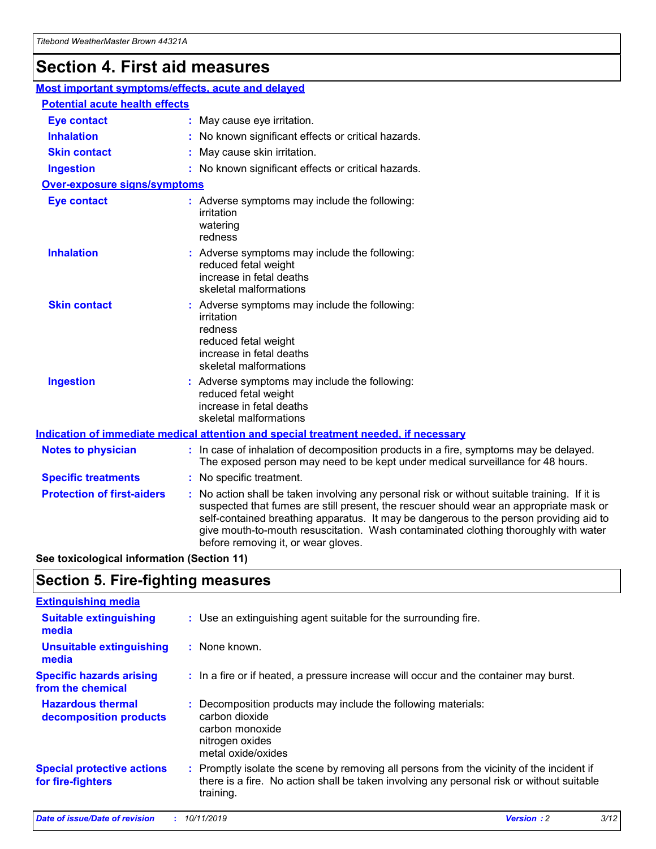# **Section 4. First aid measures**

| Most important symptoms/effects, acute and delayed |                                                                                                                                                                                                                                                                                                                                                                                                                 |
|----------------------------------------------------|-----------------------------------------------------------------------------------------------------------------------------------------------------------------------------------------------------------------------------------------------------------------------------------------------------------------------------------------------------------------------------------------------------------------|
| <b>Potential acute health effects</b>              |                                                                                                                                                                                                                                                                                                                                                                                                                 |
| <b>Eye contact</b>                                 | : May cause eye irritation.                                                                                                                                                                                                                                                                                                                                                                                     |
| <b>Inhalation</b>                                  | : No known significant effects or critical hazards.                                                                                                                                                                                                                                                                                                                                                             |
| <b>Skin contact</b>                                | : May cause skin irritation.                                                                                                                                                                                                                                                                                                                                                                                    |
| <b>Ingestion</b>                                   | : No known significant effects or critical hazards.                                                                                                                                                                                                                                                                                                                                                             |
| Over-exposure signs/symptoms                       |                                                                                                                                                                                                                                                                                                                                                                                                                 |
| <b>Eye contact</b>                                 | : Adverse symptoms may include the following:<br>irritation<br>watering<br>redness                                                                                                                                                                                                                                                                                                                              |
| <b>Inhalation</b>                                  | : Adverse symptoms may include the following:<br>reduced fetal weight<br>increase in fetal deaths<br>skeletal malformations                                                                                                                                                                                                                                                                                     |
| <b>Skin contact</b>                                | : Adverse symptoms may include the following:<br>irritation<br>redness<br>reduced fetal weight<br>increase in fetal deaths<br>skeletal malformations                                                                                                                                                                                                                                                            |
| <b>Ingestion</b>                                   | : Adverse symptoms may include the following:<br>reduced fetal weight<br>increase in fetal deaths<br>skeletal malformations                                                                                                                                                                                                                                                                                     |
|                                                    | <b>Indication of immediate medical attention and special treatment needed, if necessary</b>                                                                                                                                                                                                                                                                                                                     |
| <b>Notes to physician</b>                          | : In case of inhalation of decomposition products in a fire, symptoms may be delayed.<br>The exposed person may need to be kept under medical surveillance for 48 hours.                                                                                                                                                                                                                                        |
| <b>Specific treatments</b>                         | : No specific treatment.                                                                                                                                                                                                                                                                                                                                                                                        |
| <b>Protection of first-aiders</b>                  | : No action shall be taken involving any personal risk or without suitable training. If it is<br>suspected that fumes are still present, the rescuer should wear an appropriate mask or<br>self-contained breathing apparatus. It may be dangerous to the person providing aid to<br>give mouth-to-mouth resuscitation. Wash contaminated clothing thoroughly with water<br>before removing it, or wear gloves. |

**See toxicological information (Section 11)**

## **Section 5. Fire-fighting measures**

| <b>Extinguishing media</b>                             |                                                                                                                                                                                                     |
|--------------------------------------------------------|-----------------------------------------------------------------------------------------------------------------------------------------------------------------------------------------------------|
| <b>Suitable extinguishing</b><br>media                 | : Use an extinguishing agent suitable for the surrounding fire.                                                                                                                                     |
| <b>Unsuitable extinguishing</b><br>media               | : None known.                                                                                                                                                                                       |
| <b>Specific hazards arising</b><br>from the chemical   | : In a fire or if heated, a pressure increase will occur and the container may burst.                                                                                                               |
| <b>Hazardous thermal</b><br>decomposition products     | : Decomposition products may include the following materials:<br>carbon dioxide<br>carbon monoxide<br>nitrogen oxides<br>metal oxide/oxides                                                         |
| <b>Special protective actions</b><br>for fire-fighters | : Promptly isolate the scene by removing all persons from the vicinity of the incident if<br>there is a fire. No action shall be taken involving any personal risk or without suitable<br>training. |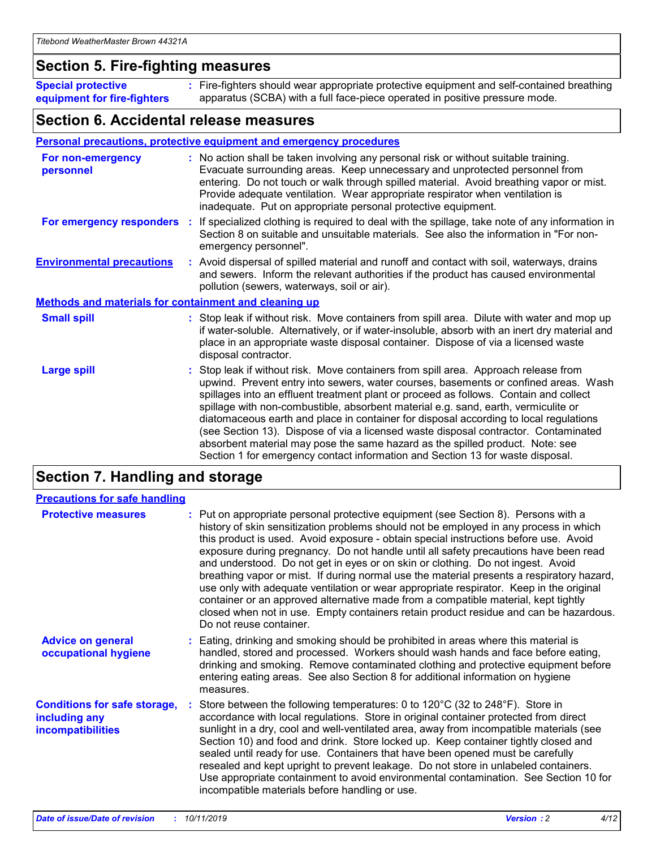## **Section 5. Fire-fighting measures**

**Special protective equipment for fire-fighters** Fire-fighters should wear appropriate protective equipment and self-contained breathing **:** apparatus (SCBA) with a full face-piece operated in positive pressure mode.

## **Section 6. Accidental release measures**

#### **Personal precautions, protective equipment and emergency procedures**

| For non-emergency<br>personnel                               | : No action shall be taken involving any personal risk or without suitable training.<br>Evacuate surrounding areas. Keep unnecessary and unprotected personnel from<br>entering. Do not touch or walk through spilled material. Avoid breathing vapor or mist.<br>Provide adequate ventilation. Wear appropriate respirator when ventilation is<br>inadequate. Put on appropriate personal protective equipment.                                                                                                                                                                                                                                                                                             |
|--------------------------------------------------------------|--------------------------------------------------------------------------------------------------------------------------------------------------------------------------------------------------------------------------------------------------------------------------------------------------------------------------------------------------------------------------------------------------------------------------------------------------------------------------------------------------------------------------------------------------------------------------------------------------------------------------------------------------------------------------------------------------------------|
|                                                              | For emergency responders : If specialized clothing is required to deal with the spillage, take note of any information in<br>Section 8 on suitable and unsuitable materials. See also the information in "For non-<br>emergency personnel".                                                                                                                                                                                                                                                                                                                                                                                                                                                                  |
| <b>Environmental precautions</b>                             | : Avoid dispersal of spilled material and runoff and contact with soil, waterways, drains<br>and sewers. Inform the relevant authorities if the product has caused environmental<br>pollution (sewers, waterways, soil or air).                                                                                                                                                                                                                                                                                                                                                                                                                                                                              |
| <b>Methods and materials for containment and cleaning up</b> |                                                                                                                                                                                                                                                                                                                                                                                                                                                                                                                                                                                                                                                                                                              |
| <b>Small spill</b>                                           | : Stop leak if without risk. Move containers from spill area. Dilute with water and mop up<br>if water-soluble. Alternatively, or if water-insoluble, absorb with an inert dry material and<br>place in an appropriate waste disposal container. Dispose of via a licensed waste<br>disposal contractor.                                                                                                                                                                                                                                                                                                                                                                                                     |
| <b>Large spill</b>                                           | : Stop leak if without risk. Move containers from spill area. Approach release from<br>upwind. Prevent entry into sewers, water courses, basements or confined areas. Wash<br>spillages into an effluent treatment plant or proceed as follows. Contain and collect<br>spillage with non-combustible, absorbent material e.g. sand, earth, vermiculite or<br>diatomaceous earth and place in container for disposal according to local regulations<br>(see Section 13). Dispose of via a licensed waste disposal contractor. Contaminated<br>absorbent material may pose the same hazard as the spilled product. Note: see<br>Section 1 for emergency contact information and Section 13 for waste disposal. |

## **Section 7. Handling and storage**

| <b>Precautions for safe handling</b>                                             |                                                                                                                                                                                                                                                                                                                                                                                                                                                                                                                                                                                                                                                                                                                                                                                                                                                  |
|----------------------------------------------------------------------------------|--------------------------------------------------------------------------------------------------------------------------------------------------------------------------------------------------------------------------------------------------------------------------------------------------------------------------------------------------------------------------------------------------------------------------------------------------------------------------------------------------------------------------------------------------------------------------------------------------------------------------------------------------------------------------------------------------------------------------------------------------------------------------------------------------------------------------------------------------|
| <b>Protective measures</b>                                                       | : Put on appropriate personal protective equipment (see Section 8). Persons with a<br>history of skin sensitization problems should not be employed in any process in which<br>this product is used. Avoid exposure - obtain special instructions before use. Avoid<br>exposure during pregnancy. Do not handle until all safety precautions have been read<br>and understood. Do not get in eyes or on skin or clothing. Do not ingest. Avoid<br>breathing vapor or mist. If during normal use the material presents a respiratory hazard,<br>use only with adequate ventilation or wear appropriate respirator. Keep in the original<br>container or an approved alternative made from a compatible material, kept tightly<br>closed when not in use. Empty containers retain product residue and can be hazardous.<br>Do not reuse container. |
| <b>Advice on general</b><br>occupational hygiene                                 | : Eating, drinking and smoking should be prohibited in areas where this material is<br>handled, stored and processed. Workers should wash hands and face before eating,<br>drinking and smoking. Remove contaminated clothing and protective equipment before<br>entering eating areas. See also Section 8 for additional information on hygiene<br>measures.                                                                                                                                                                                                                                                                                                                                                                                                                                                                                    |
| <b>Conditions for safe storage,</b><br>including any<br><b>incompatibilities</b> | : Store between the following temperatures: 0 to 120 $\degree$ C (32 to 248 $\degree$ F). Store in<br>accordance with local regulations. Store in original container protected from direct<br>sunlight in a dry, cool and well-ventilated area, away from incompatible materials (see<br>Section 10) and food and drink. Store locked up. Keep container tightly closed and<br>sealed until ready for use. Containers that have been opened must be carefully<br>resealed and kept upright to prevent leakage. Do not store in unlabeled containers.<br>Use appropriate containment to avoid environmental contamination. See Section 10 for<br>incompatible materials before handling or use.                                                                                                                                                   |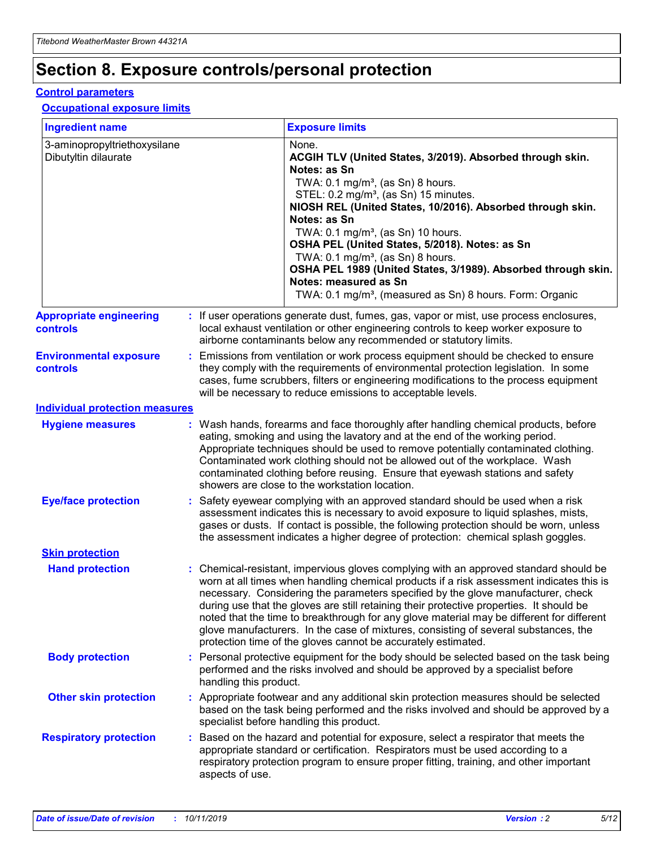# **Section 8. Exposure controls/personal protection**

#### **Control parameters**

#### **Occupational exposure limits**

| <b>Ingredient name</b>                               |    |                        | <b>Exposure limits</b>                                                                                                                                                                                                                                                                                                                                                                                                                                                                                                                                                                                                 |
|------------------------------------------------------|----|------------------------|------------------------------------------------------------------------------------------------------------------------------------------------------------------------------------------------------------------------------------------------------------------------------------------------------------------------------------------------------------------------------------------------------------------------------------------------------------------------------------------------------------------------------------------------------------------------------------------------------------------------|
| 3-aminopropyltriethoxysilane<br>Dibutyltin dilaurate |    |                        | None.<br>ACGIH TLV (United States, 3/2019). Absorbed through skin.<br>Notes: as Sn<br>TWA: 0.1 mg/m <sup>3</sup> , (as Sn) 8 hours.<br>STEL: 0.2 mg/m <sup>3</sup> , (as Sn) 15 minutes.<br>NIOSH REL (United States, 10/2016). Absorbed through skin.<br>Notes: as Sn<br>TWA: 0.1 mg/m <sup>3</sup> , (as Sn) 10 hours.<br>OSHA PEL (United States, 5/2018). Notes: as Sn<br>TWA: $0.1 \text{ mg/m}^3$ , (as Sn) 8 hours.<br>OSHA PEL 1989 (United States, 3/1989). Absorbed through skin.<br>Notes: measured as Sn<br>TWA: 0.1 mg/m <sup>3</sup> , (measured as Sn) 8 hours. Form: Organic                           |
| <b>Appropriate engineering</b><br>controls           |    |                        | : If user operations generate dust, fumes, gas, vapor or mist, use process enclosures,<br>local exhaust ventilation or other engineering controls to keep worker exposure to<br>airborne contaminants below any recommended or statutory limits.                                                                                                                                                                                                                                                                                                                                                                       |
| <b>Environmental exposure</b><br><b>controls</b>     |    |                        | Emissions from ventilation or work process equipment should be checked to ensure<br>they comply with the requirements of environmental protection legislation. In some<br>cases, fume scrubbers, filters or engineering modifications to the process equipment<br>will be necessary to reduce emissions to acceptable levels.                                                                                                                                                                                                                                                                                          |
| <b>Individual protection measures</b>                |    |                        |                                                                                                                                                                                                                                                                                                                                                                                                                                                                                                                                                                                                                        |
| <b>Hygiene measures</b>                              |    |                        | : Wash hands, forearms and face thoroughly after handling chemical products, before<br>eating, smoking and using the lavatory and at the end of the working period.<br>Appropriate techniques should be used to remove potentially contaminated clothing.<br>Contaminated work clothing should not be allowed out of the workplace. Wash<br>contaminated clothing before reusing. Ensure that eyewash stations and safety<br>showers are close to the workstation location.                                                                                                                                            |
| <b>Eye/face protection</b>                           |    |                        | : Safety eyewear complying with an approved standard should be used when a risk<br>assessment indicates this is necessary to avoid exposure to liquid splashes, mists,<br>gases or dusts. If contact is possible, the following protection should be worn, unless<br>the assessment indicates a higher degree of protection: chemical splash goggles.                                                                                                                                                                                                                                                                  |
| <b>Skin protection</b>                               |    |                        |                                                                                                                                                                                                                                                                                                                                                                                                                                                                                                                                                                                                                        |
| <b>Hand protection</b>                               |    |                        | : Chemical-resistant, impervious gloves complying with an approved standard should be<br>worn at all times when handling chemical products if a risk assessment indicates this is<br>necessary. Considering the parameters specified by the glove manufacturer, check<br>during use that the gloves are still retaining their protective properties. It should be<br>noted that the time to breakthrough for any glove material may be different for different<br>glove manufacturers. In the case of mixtures, consisting of several substances, the<br>protection time of the gloves cannot be accurately estimated. |
| <b>Body protection</b>                               |    | handling this product. | Personal protective equipment for the body should be selected based on the task being<br>performed and the risks involved and should be approved by a specialist before                                                                                                                                                                                                                                                                                                                                                                                                                                                |
| <b>Other skin protection</b>                         |    |                        | : Appropriate footwear and any additional skin protection measures should be selected<br>based on the task being performed and the risks involved and should be approved by a<br>specialist before handling this product.                                                                                                                                                                                                                                                                                                                                                                                              |
| <b>Respiratory protection</b>                        | ÷. | aspects of use.        | Based on the hazard and potential for exposure, select a respirator that meets the<br>appropriate standard or certification. Respirators must be used according to a<br>respiratory protection program to ensure proper fitting, training, and other important                                                                                                                                                                                                                                                                                                                                                         |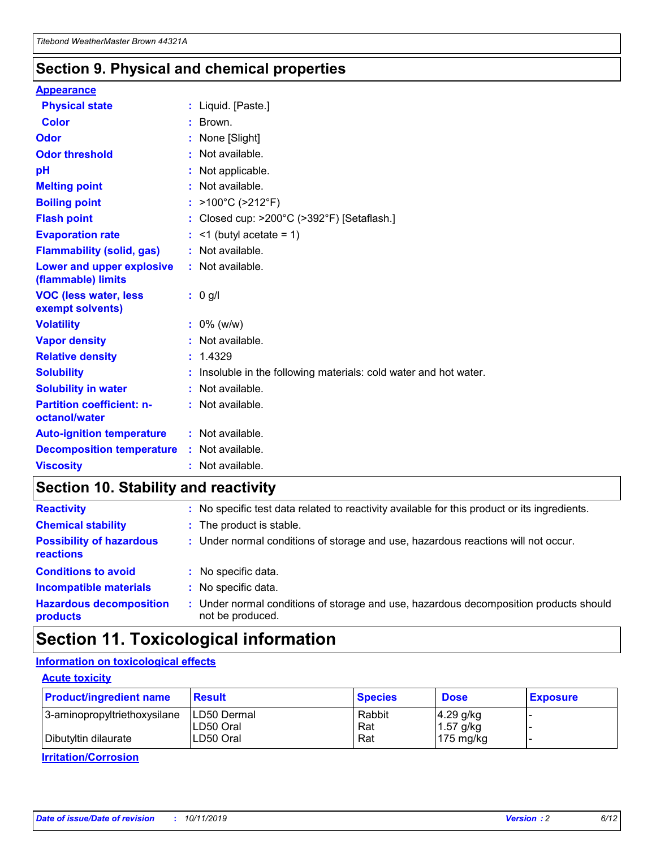## **Section 9. Physical and chemical properties**

#### **Appearance**

| <b>Physical state</b>                             | : Liquid. [Paste.]                                                |
|---------------------------------------------------|-------------------------------------------------------------------|
| <b>Color</b>                                      | : Brown.                                                          |
| Odor                                              | : None [Slight]                                                   |
| <b>Odor threshold</b>                             | : Not available.                                                  |
| рH                                                | : Not applicable.                                                 |
| <b>Melting point</b>                              | : Not available.                                                  |
| <b>Boiling point</b>                              | : >100°C (>212°F)                                                 |
| <b>Flash point</b>                                | : Closed cup: >200°C (>392°F) [Setaflash.]                        |
| <b>Evaporation rate</b>                           | $:$ <1 (butyl acetate = 1)                                        |
| <b>Flammability (solid, gas)</b>                  | : Not available.                                                  |
| Lower and upper explosive<br>(flammable) limits   | : Not available.                                                  |
| <b>VOC (less water, less</b><br>exempt solvents)  | : 0 g/l                                                           |
| <b>Volatility</b>                                 | $: 0\%$ (w/w)                                                     |
| <b>Vapor density</b>                              | : Not available.                                                  |
| <b>Relative density</b>                           | : 1.4329                                                          |
| <b>Solubility</b>                                 | : Insoluble in the following materials: cold water and hot water. |
| <b>Solubility in water</b>                        | : Not available.                                                  |
| <b>Partition coefficient: n-</b><br>octanol/water | $:$ Not available.                                                |
| <b>Auto-ignition temperature</b>                  | : Not available.                                                  |
| <b>Decomposition temperature</b>                  | : Not available.                                                  |
| <b>Viscosity</b>                                  | : Not available.                                                  |

# **Section 10. Stability and reactivity**

| <b>Reactivity</b>                            | : No specific test data related to reactivity available for this product or its ingredients.              |
|----------------------------------------------|-----------------------------------------------------------------------------------------------------------|
| <b>Chemical stability</b>                    | : The product is stable.                                                                                  |
| <b>Possibility of hazardous</b><br>reactions | : Under normal conditions of storage and use, hazardous reactions will not occur.                         |
| <b>Conditions to avoid</b>                   | : No specific data.                                                                                       |
| <b>Incompatible materials</b>                | : No specific data.                                                                                       |
| <b>Hazardous decomposition</b><br>products   | : Under normal conditions of storage and use, hazardous decomposition products should<br>not be produced. |

# **Section 11. Toxicological information**

### **Information on toxicological effects**

#### **Acute toxicity**

| <b>Product/ingredient name</b> | <b>Result</b>           | <b>Species</b> | <b>Dose</b>                | <b>Exposure</b> |
|--------------------------------|-------------------------|----------------|----------------------------|-----------------|
| 3-aminopropyltriethoxysilane   | <b>ILD50 Dermal</b>     | Rabbit         | 4.29 g/kg                  |                 |
| Dibutyltin dilaurate           | ILD50 Oral<br>LD50 Oral | Rat<br>Rat     | $1.57$ g/kg<br>175 $mg/kg$ |                 |
|                                |                         |                |                            |                 |

**Irritation/Corrosion**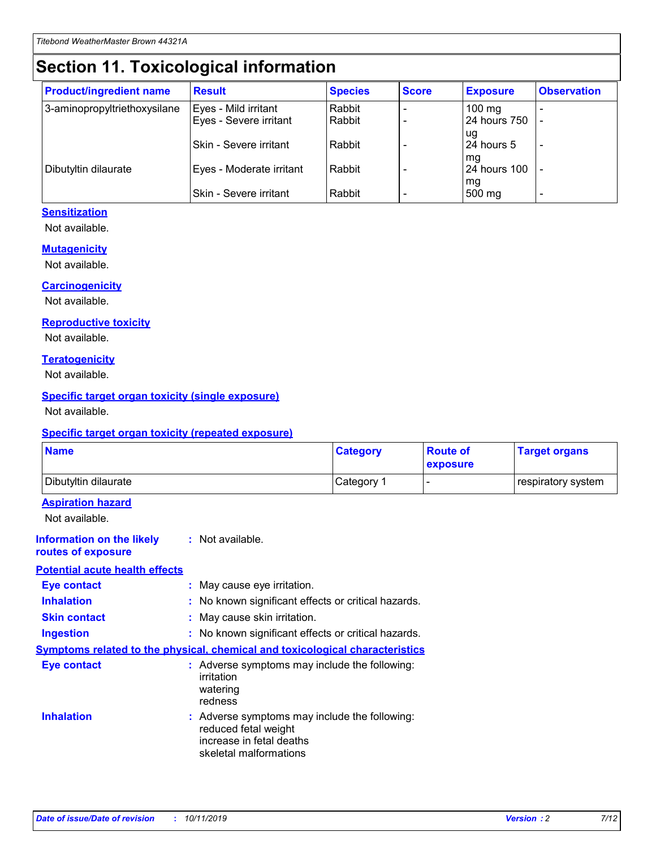# **Section 11. Toxicological information**

| <b>Product/ingredient name</b> | <b>Result</b>            | <b>Species</b> | <b>Score</b> | <b>Exposure</b>           | <b>Observation</b> |
|--------------------------------|--------------------------|----------------|--------------|---------------------------|--------------------|
| 3-aminopropyltriethoxysilane   | Eyes - Mild irritant     | Rabbit         |              | $100$ mg                  |                    |
|                                | Eyes - Severe irritant   | Rabbit         |              | 24 hours 750              |                    |
|                                |                          |                |              | ug                        |                    |
|                                | Skin - Severe irritant   | Rabbit         |              | 24 hours 5                | -                  |
| Dibutyltin dilaurate           | Eyes - Moderate irritant | Rabbit         |              | mq<br><b>24 hours 100</b> |                    |
|                                |                          |                |              | mg                        |                    |
|                                | Skin - Severe irritant   | Rabbit         |              | 500 mg                    |                    |

#### **Sensitization**

Not available.

#### **Mutagenicity**

Not available.

#### **Carcinogenicity**

Not available.

#### **Reproductive toxicity**

Not available.

#### **Teratogenicity**

Not available.

#### **Specific target organ toxicity (single exposure)**

Not available.

#### **Specific target organ toxicity (repeated exposure)**

| <b>Name</b>                                                                         |                                                                            | <b>Category</b>                                     | <b>Route of</b><br>exposure | <b>Target organs</b> |
|-------------------------------------------------------------------------------------|----------------------------------------------------------------------------|-----------------------------------------------------|-----------------------------|----------------------|
| Dibutyltin dilaurate                                                                |                                                                            | Category 1                                          |                             | respiratory system   |
| <b>Aspiration hazard</b><br>Not available.                                          |                                                                            |                                                     |                             |                      |
| <b>Information on the likely</b><br>routes of exposure                              | : Not available.                                                           |                                                     |                             |                      |
| <b>Potential acute health effects</b>                                               |                                                                            |                                                     |                             |                      |
| <b>Eye contact</b>                                                                  | : May cause eye irritation.                                                |                                                     |                             |                      |
| <b>Inhalation</b>                                                                   |                                                                            | : No known significant effects or critical hazards. |                             |                      |
| <b>Skin contact</b>                                                                 | : May cause skin irritation.                                               |                                                     |                             |                      |
| <b>Ingestion</b>                                                                    |                                                                            | : No known significant effects or critical hazards. |                             |                      |
| <b>Symptoms related to the physical, chemical and toxicological characteristics</b> |                                                                            |                                                     |                             |                      |
| <b>Eye contact</b>                                                                  | irritation<br>watering<br>redness                                          | : Adverse symptoms may include the following:       |                             |                      |
| <b>Inhalation</b>                                                                   | reduced fetal weight<br>increase in fetal deaths<br>skeletal malformations | : Adverse symptoms may include the following:       |                             |                      |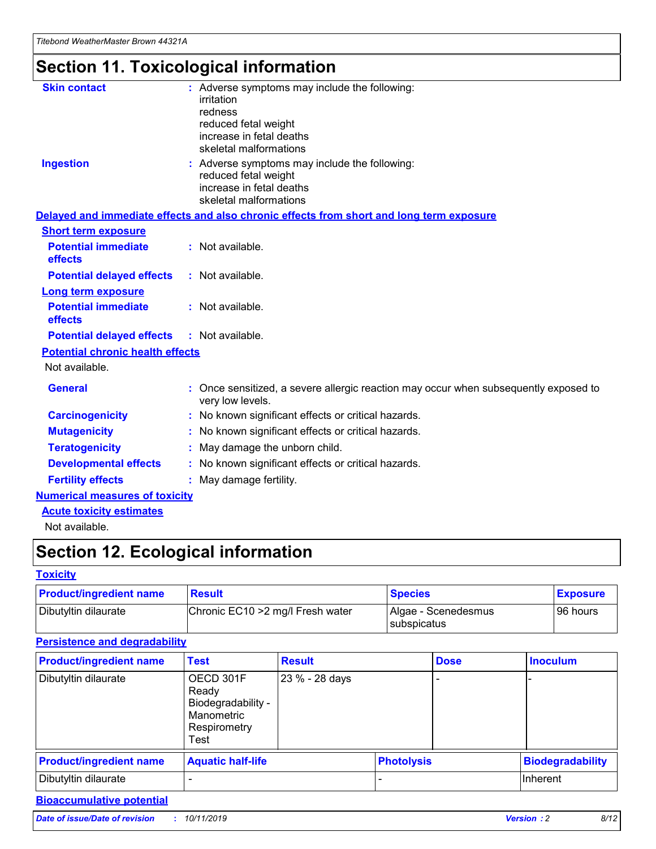# **Section 11. Toxicological information**

| <b>Skin contact</b>                     | : Adverse symptoms may include the following:                                                          |
|-----------------------------------------|--------------------------------------------------------------------------------------------------------|
|                                         | irritation<br>redness                                                                                  |
|                                         | reduced fetal weight                                                                                   |
|                                         | increase in fetal deaths                                                                               |
|                                         | skeletal malformations                                                                                 |
| <b>Ingestion</b>                        | : Adverse symptoms may include the following:                                                          |
|                                         | reduced fetal weight<br>increase in fetal deaths                                                       |
|                                         | skeletal malformations                                                                                 |
|                                         | Delayed and immediate effects and also chronic effects from short and long term exposure               |
| <b>Short term exposure</b>              |                                                                                                        |
| <b>Potential immediate</b>              | : Not available.                                                                                       |
| effects                                 |                                                                                                        |
| <b>Potential delayed effects</b>        | : Not available.                                                                                       |
| <b>Long term exposure</b>               |                                                                                                        |
| <b>Potential immediate</b>              | : Not available.                                                                                       |
| effects                                 |                                                                                                        |
| <b>Potential delayed effects</b>        | : Not available.                                                                                       |
| <b>Potential chronic health effects</b> |                                                                                                        |
| Not available.                          |                                                                                                        |
| <b>General</b>                          | Once sensitized, a severe allergic reaction may occur when subsequently exposed to<br>very low levels. |
| <b>Carcinogenicity</b>                  | : No known significant effects or critical hazards.                                                    |
| <b>Mutagenicity</b>                     | No known significant effects or critical hazards.                                                      |
| <b>Teratogenicity</b>                   | May damage the unborn child.                                                                           |
| <b>Developmental effects</b>            | : No known significant effects or critical hazards.                                                    |
| <b>Fertility effects</b>                | May damage fertility.                                                                                  |
| <b>Numerical measures of toxicity</b>   |                                                                                                        |
| <b>Acute toxicity estimates</b>         |                                                                                                        |
| المسابق المستنقذ والمستنبذ والمستنب     |                                                                                                        |

Not available.

# **Section 12. Ecological information**

#### **Toxicity**

| <b>Product/ingredient name</b> | <b>Result</b>                     | <b>Species</b>                       | <b>Exposure</b> |
|--------------------------------|-----------------------------------|--------------------------------------|-----------------|
| Dibutyltin dilaurate           | Chronic EC10 > 2 mg/l Fresh water | Algae - Scenedesmus<br>I subspicatus | l 96 hours i    |

### **Persistence and degradability**

| <b>Product/ingredient name</b> | <b>Test</b>                                                                    | <b>Result</b>  |                   | <b>Dose</b> | <b>Inoculum</b>         |
|--------------------------------|--------------------------------------------------------------------------------|----------------|-------------------|-------------|-------------------------|
| Dibutyltin dilaurate           | OECD 301F<br>Ready<br>Biodegradability -<br>Manometric<br>Respirometry<br>Test | 23 % - 28 days |                   |             |                         |
| <b>Product/ingredient name</b> | <b>Aquatic half-life</b>                                                       |                | <b>Photolysis</b> |             | <b>Biodegradability</b> |
| Dibutyltin dilaurate           |                                                                                |                |                   |             | Inherent                |

### **Bioaccumulative potential**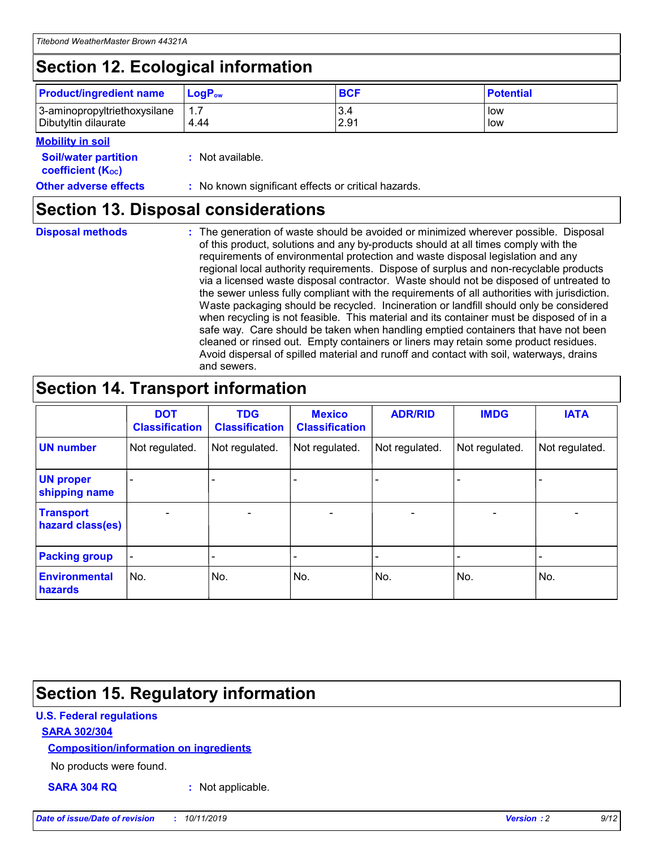# **Section 12. Ecological information**

| <b>Product/ingredient name</b> | $LoaPow$ | <b>BCF</b> | <b>Potential</b> |
|--------------------------------|----------|------------|------------------|
| 3-aminopropyltriethoxysilane   | 4.44     | 3.4        | low              |
| Dibutyltin dilaurate           |          | 2.91       | low              |

#### **Mobility in soil**

| <b>Soil/water partition</b><br>coefficient (K <sub>oc</sub> ) | : Not available.                                    |
|---------------------------------------------------------------|-----------------------------------------------------|
| <b>Other adverse effects</b>                                  | : No known significant effects or critical hazards. |

## **Section 13. Disposal considerations**

**Disposal methods :**

The generation of waste should be avoided or minimized wherever possible. Disposal of this product, solutions and any by-products should at all times comply with the requirements of environmental protection and waste disposal legislation and any regional local authority requirements. Dispose of surplus and non-recyclable products via a licensed waste disposal contractor. Waste should not be disposed of untreated to the sewer unless fully compliant with the requirements of all authorities with jurisdiction. Waste packaging should be recycled. Incineration or landfill should only be considered when recycling is not feasible. This material and its container must be disposed of in a safe way. Care should be taken when handling emptied containers that have not been cleaned or rinsed out. Empty containers or liners may retain some product residues. Avoid dispersal of spilled material and runoff and contact with soil, waterways, drains and sewers.

# **Section 14. Transport information**

|                                      | <b>DOT</b><br><b>Classification</b> | <b>TDG</b><br><b>Classification</b> | <b>Mexico</b><br><b>Classification</b> | <b>ADR/RID</b> | <b>IMDG</b>              | <b>IATA</b>              |
|--------------------------------------|-------------------------------------|-------------------------------------|----------------------------------------|----------------|--------------------------|--------------------------|
| <b>UN number</b>                     | Not regulated.                      | Not regulated.                      | Not regulated.                         | Not regulated. | Not regulated.           | Not regulated.           |
| <b>UN proper</b><br>shipping name    | $\blacksquare$                      |                                     |                                        |                |                          |                          |
| <b>Transport</b><br>hazard class(es) | $\blacksquare$                      | $\overline{\phantom{a}}$            | $\blacksquare$                         | $\blacksquare$ | $\overline{\phantom{a}}$ | $\overline{\phantom{0}}$ |
| <b>Packing group</b>                 | $\overline{\phantom{a}}$            | $\overline{\phantom{0}}$            | $\overline{\phantom{a}}$               | -              | $\overline{\phantom{0}}$ | $\overline{\phantom{a}}$ |
| <b>Environmental</b><br>hazards      | No.                                 | No.                                 | No.                                    | No.            | No.                      | No.                      |

# **Section 15. Regulatory information**

#### **U.S. Federal regulations**

#### **SARA 302/304**

#### **Composition/information on ingredients**

No products were found.

**SARA 304 RQ :** Not applicable.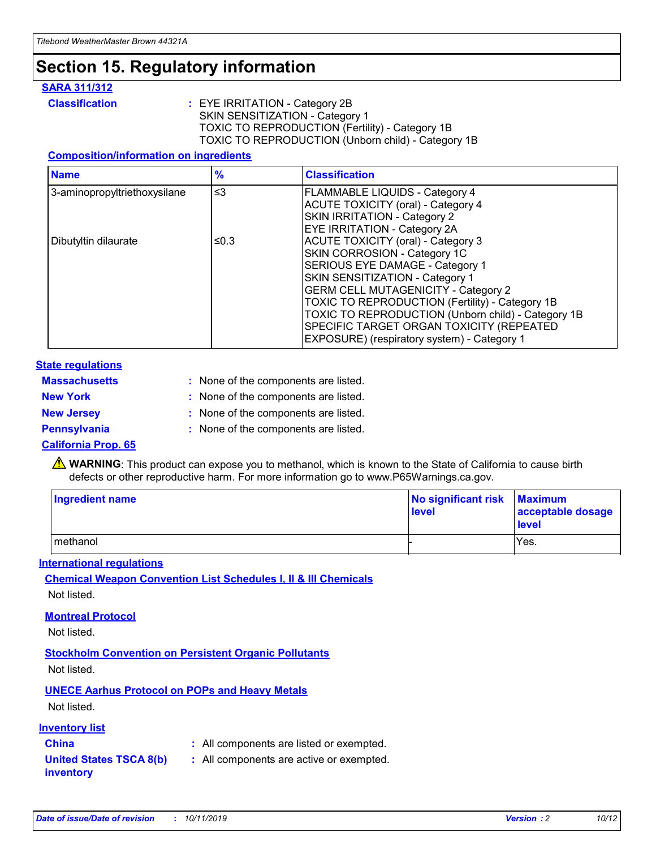# **Section 15. Regulatory information**

#### **SARA 311/312**

**Classification :** EYE IRRITATION - Category 2B SKIN SENSITIZATION - Category 1 TOXIC TO REPRODUCTION (Fertility) - Category 1B TOXIC TO REPRODUCTION (Unborn child) - Category 1B

#### **Composition/information on ingredients**

| <b>Name</b>                  | $\frac{9}{6}$ | <b>Classification</b>                                                                                            |
|------------------------------|---------------|------------------------------------------------------------------------------------------------------------------|
| 3-aminopropyltriethoxysilane | $\leq$ 3      | <b>FLAMMABLE LIQUIDS - Category 4</b><br><b>ACUTE TOXICITY (oral) - Category 4</b>                               |
|                              |               | SKIN IRRITATION - Category 2<br>EYE IRRITATION - Category 2A                                                     |
| Dibutyltin dilaurate         | ≤0.3          | ACUTE TOXICITY (oral) - Category 3<br>SKIN CORROSION - Category 1C                                               |
|                              |               | SERIOUS EYE DAMAGE - Category 1<br>SKIN SENSITIZATION - Category 1<br><b>GERM CELL MUTAGENICITY - Category 2</b> |
|                              |               | TOXIC TO REPRODUCTION (Fertility) - Category 1B<br>TOXIC TO REPRODUCTION (Unborn child) - Category 1B            |
|                              |               | SPECIFIC TARGET ORGAN TOXICITY (REPEATED<br>EXPOSURE) (respiratory system) - Category 1                          |

#### **State regulations**

| <b>Massachusetts</b> | : None of the components are listed. |
|----------------------|--------------------------------------|
| <b>New York</b>      | : None of the components are listed. |
| <b>New Jersey</b>    | : None of the components are listed. |
| Pennsylvania         | : None of the components are listed. |

#### **California Prop. 65**

**A** WARNING: This product can expose you to methanol, which is known to the State of California to cause birth defects or other reproductive harm. For more information go to www.P65Warnings.ca.gov.

| <b>Ingredient name</b> | No significant risk Maximum<br>level | acceptable dosage<br>level |
|------------------------|--------------------------------------|----------------------------|
| methanol               |                                      | Yes.                       |

#### **International regulations**

**Chemical Weapon Convention List Schedules I, II & III Chemicals** Not listed.

#### **Montreal Protocol**

Not listed.

**Stockholm Convention on Persistent Organic Pollutants**

Not listed.

### **UNECE Aarhus Protocol on POPs and Heavy Metals**

Not listed.

#### **Inventory list**

## **China :** All components are listed or exempted.

**United States TSCA 8(b) inventory :** All components are active or exempted.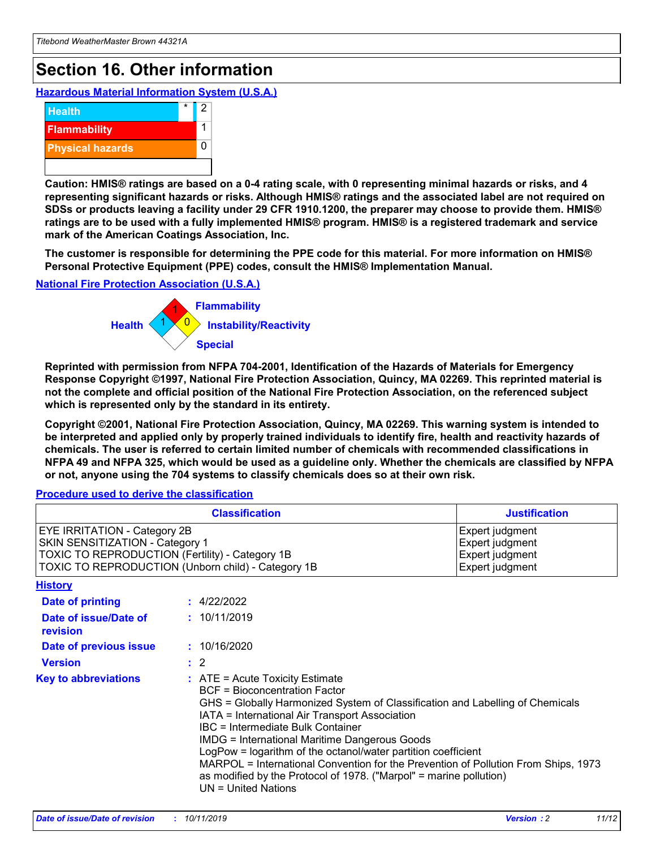# **Section 16. Other information**

**Hazardous Material Information System (U.S.A.)**



**Caution: HMIS® ratings are based on a 0-4 rating scale, with 0 representing minimal hazards or risks, and 4 representing significant hazards or risks. Although HMIS® ratings and the associated label are not required on SDSs or products leaving a facility under 29 CFR 1910.1200, the preparer may choose to provide them. HMIS® ratings are to be used with a fully implemented HMIS® program. HMIS® is a registered trademark and service mark of the American Coatings Association, Inc.**

**The customer is responsible for determining the PPE code for this material. For more information on HMIS® Personal Protective Equipment (PPE) codes, consult the HMIS® Implementation Manual.**

#### **National Fire Protection Association (U.S.A.)**



**Reprinted with permission from NFPA 704-2001, Identification of the Hazards of Materials for Emergency Response Copyright ©1997, National Fire Protection Association, Quincy, MA 02269. This reprinted material is not the complete and official position of the National Fire Protection Association, on the referenced subject which is represented only by the standard in its entirety.**

**Copyright ©2001, National Fire Protection Association, Quincy, MA 02269. This warning system is intended to be interpreted and applied only by properly trained individuals to identify fire, health and reactivity hazards of chemicals. The user is referred to certain limited number of chemicals with recommended classifications in NFPA 49 and NFPA 325, which would be used as a guideline only. Whether the chemicals are classified by NFPA or not, anyone using the 704 systems to classify chemicals does so at their own risk.**

#### **Procedure used to derive the classification**

| <b>Classification</b>                                                                                                                                                                  |                                                                                                                                                                                                                                                                   | <b>Justification</b>                                                                                                                                                                                                                                                                                       |  |
|----------------------------------------------------------------------------------------------------------------------------------------------------------------------------------------|-------------------------------------------------------------------------------------------------------------------------------------------------------------------------------------------------------------------------------------------------------------------|------------------------------------------------------------------------------------------------------------------------------------------------------------------------------------------------------------------------------------------------------------------------------------------------------------|--|
| <b>EYE IRRITATION - Category 2B</b><br>SKIN SENSITIZATION - Category 1<br><b>TOXIC TO REPRODUCTION (Fertility) - Category 1B</b><br>TOXIC TO REPRODUCTION (Unborn child) - Category 1B |                                                                                                                                                                                                                                                                   | Expert judgment<br>Expert judgment<br>Expert judgment<br>Expert judgment                                                                                                                                                                                                                                   |  |
| <b>History</b>                                                                                                                                                                         |                                                                                                                                                                                                                                                                   |                                                                                                                                                                                                                                                                                                            |  |
| <b>Date of printing</b>                                                                                                                                                                | : 4/22/2022                                                                                                                                                                                                                                                       |                                                                                                                                                                                                                                                                                                            |  |
| Date of issue/Date of<br>revision                                                                                                                                                      | : 10/11/2019                                                                                                                                                                                                                                                      |                                                                                                                                                                                                                                                                                                            |  |
| Date of previous issue                                                                                                                                                                 | : 10/16/2020                                                                                                                                                                                                                                                      |                                                                                                                                                                                                                                                                                                            |  |
| <b>Version</b>                                                                                                                                                                         | $\therefore$ 2                                                                                                                                                                                                                                                    |                                                                                                                                                                                                                                                                                                            |  |
| <b>Key to abbreviations</b>                                                                                                                                                            | $\therefore$ ATE = Acute Toxicity Estimate<br><b>BCF</b> = Bioconcentration Factor<br>IATA = International Air Transport Association<br><b>IBC</b> = Intermediate Bulk Container<br><b>IMDG = International Maritime Dangerous Goods</b><br>$UN = United Nations$ | GHS = Globally Harmonized System of Classification and Labelling of Chemicals<br>LogPow = logarithm of the octanol/water partition coefficient<br>MARPOL = International Convention for the Prevention of Pollution From Ships, 1973<br>as modified by the Protocol of 1978. ("Marpol" = marine pollution) |  |